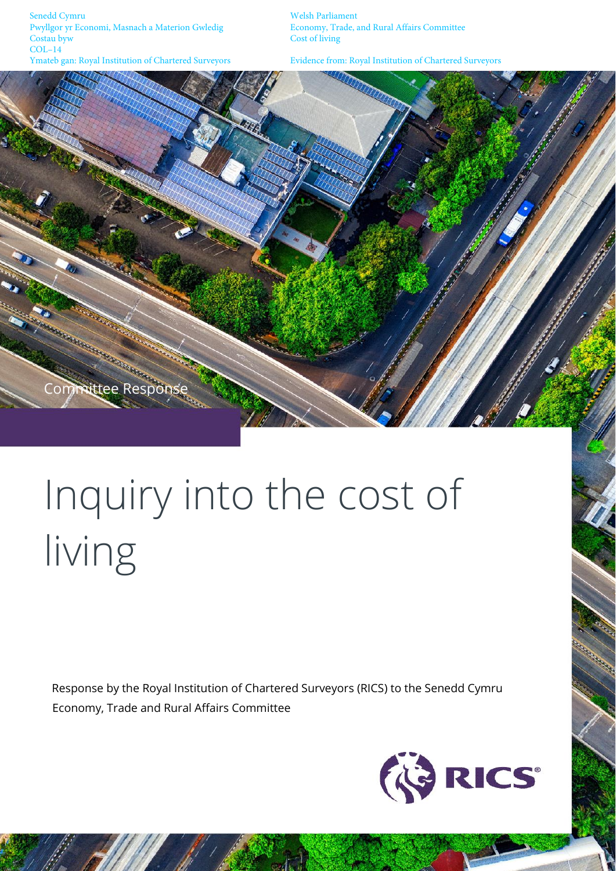Senedd Cymru Welsh Parliament Pwyllgor yr Economi, Masnach a Materion Gwledig Economy, Trade, and Rural Affairs Committee COL-14<br>Ymateb gan: Royal Institution of Chartered Surveyors

Cost of living

Evidence from: Royal Institution of Chartered Surveyors



# Inquiry into the cost of living

Response by the Royal Institution of Chartered Surveyors (RICS) to the Senedd Cymru Economy, Trade and Rural Affairs Committee

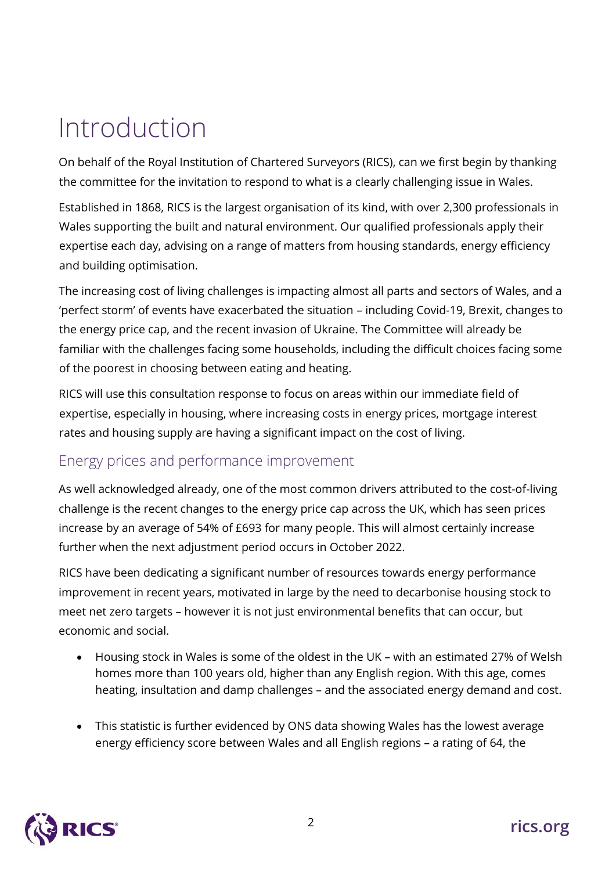# Introduction

On behalf of the Royal Institution of Chartered Surveyors (RICS), can we first begin by thanking the committee for the invitation to respond to what is a clearly challenging issue in Wales.

Established in 1868, RICS is the largest organisation of its kind, with over 2,300 professionals in Wales supporting the built and natural environment. Our qualified professionals apply their expertise each day, advising on a range of matters from housing standards, energy efficiency and building optimisation.

The increasing cost of living challenges is impacting almost all parts and sectors of Wales, and a 'perfect storm' of events have exacerbated the situation – including Covid-19, Brexit, changes to the energy price cap, and the recent invasion of Ukraine. The Committee will already be familiar with the challenges facing some households, including the difficult choices facing some of the poorest in choosing between eating and heating.

RICS will use this consultation response to focus on areas within our immediate field of expertise, especially in housing, where increasing costs in energy prices, mortgage interest rates and housing supply are having a significant impact on the cost of living.

## Energy prices and performance improvement

As well acknowledged already, one of the most common drivers attributed to the cost-of-living challenge is the recent changes to the energy price cap across the UK, which has seen prices increase by an average of 54% of £693 for many people. This will almost certainly increase further when the next adjustment period occurs in October 2022.

RICS have been dedicating a significant number of resources towards energy performance improvement in recent years, motivated in large by the need to decarbonise housing stock to meet net zero targets – however it is not just environmental benefits that can occur, but economic and social.

- Housing stock in Wales is some of the oldest in the UK with an estimated 27% of Welsh homes more than 100 years old, higher than any English region. With this age, comes heating, insultation and damp challenges – and the associated energy demand and cost.
- This statistic is further evidenced by ONS data showing Wales has the lowest average energy efficiency score between Wales and all English regions – a rating of 64, the

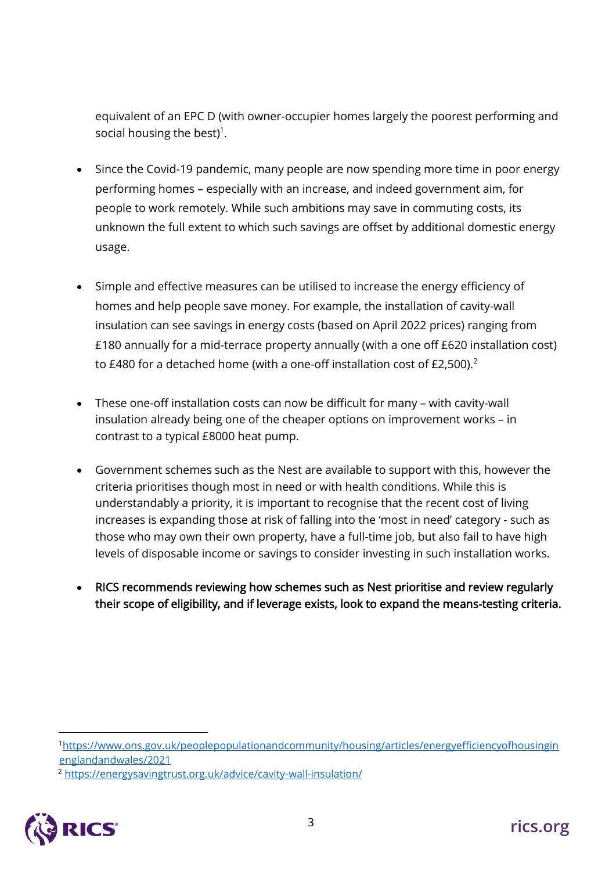equivalent of an EPC D (with owner-occupier homes largely the poorest performing and social housing the best)<sup>1</sup>.

- Since the Covid-19 pandemic, many people are now spending more time in poor energy performing homes – especially with an increase, and indeed government aim, for people to work remotely. While such ambitions may save in commuting costs, its unknown the full extent to which such savings are offset by additional domestic energy usage.
- Simple and effective measures can be utilised to increase the energy efficiency of homes and help people save money. For example, the installation of cavity-wall insulation can see savings in energy costs (based on April 2022 prices) ranging from £180 annually for a mid-terrace property annually (with a one off £620 installation cost) to £480 for a detached home (with a one-off installation cost of £2,500). $^2$
- These one-off installation costs can now be difficult for many with cavity-wall insulation already being one of the cheaper options on improvement works – in contrast to a typical £8000 heat pump.
- Government schemes such as the Nest are available to support with this, however the criteria prioritises though most in need or with health conditions. While this is understandably a priority, it is important to recognise that the recent cost of living increases is expanding those at risk of falling into the 'most in need' category - such as those who may own their own property, have a full-time job, but also fail to have high levels of disposable income or savings to consider investing in such installation works.
- RICS recommends reviewing how schemes such as Nest prioritise and review regularly their scope of eligibility, and if leverage exists, look to expand the means-testing criteria.

<sup>2</sup> <https://energysavingtrust.org.uk/advice/cavity-wall-insulation/>



<sup>1</sup>[https://www.ons.gov.uk/peoplepopulationandcommunity/housing/articles/energyefficiencyofhousingin](https://www.ons.gov.uk/peoplepopulationandcommunity/housing/articles/energyefficiencyofhousinginenglandandwales/2021) [englandandwales/2021](https://www.ons.gov.uk/peoplepopulationandcommunity/housing/articles/energyefficiencyofhousinginenglandandwales/2021)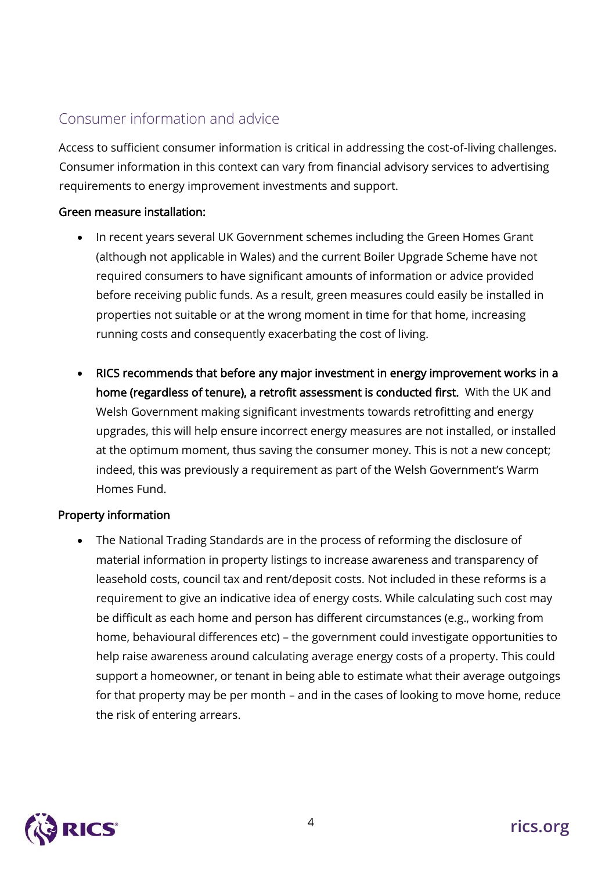# Consumer information and advice

Access to sufficient consumer information is critical in addressing the cost-of-living challenges. Consumer information in this context can vary from financial advisory services to advertising requirements to energy improvement investments and support.

#### Green measure installation:

- In recent years several UK Government schemes including the Green Homes Grant (although not applicable in Wales) and the current Boiler Upgrade Scheme have not required consumers to have significant amounts of information or advice provided before receiving public funds. As a result, green measures could easily be installed in properties not suitable or at the wrong moment in time for that home, increasing running costs and consequently exacerbating the cost of living.
- RICS recommends that before any major investment in energy improvement works in a home (regardless of tenure), a retrofit assessment is conducted first. With the UK and Welsh Government making significant investments towards retrofitting and energy upgrades, this will help ensure incorrect energy measures are not installed, or installed at the optimum moment, thus saving the consumer money. This is not a new concept; indeed, this was previously a requirement as part of the Welsh Government's Warm Homes Fund.

#### Property information

• The National Trading Standards are in the process of reforming the disclosure of material information in property listings to increase awareness and transparency of leasehold costs, council tax and rent/deposit costs. Not included in these reforms is a requirement to give an indicative idea of energy costs. While calculating such cost may be difficult as each home and person has different circumstances (e.g., working from home, behavioural differences etc) – the government could investigate opportunities to help raise awareness around calculating average energy costs of a property. This could support a homeowner, or tenant in being able to estimate what their average outgoings for that property may be per month – and in the cases of looking to move home, reduce the risk of entering arrears.

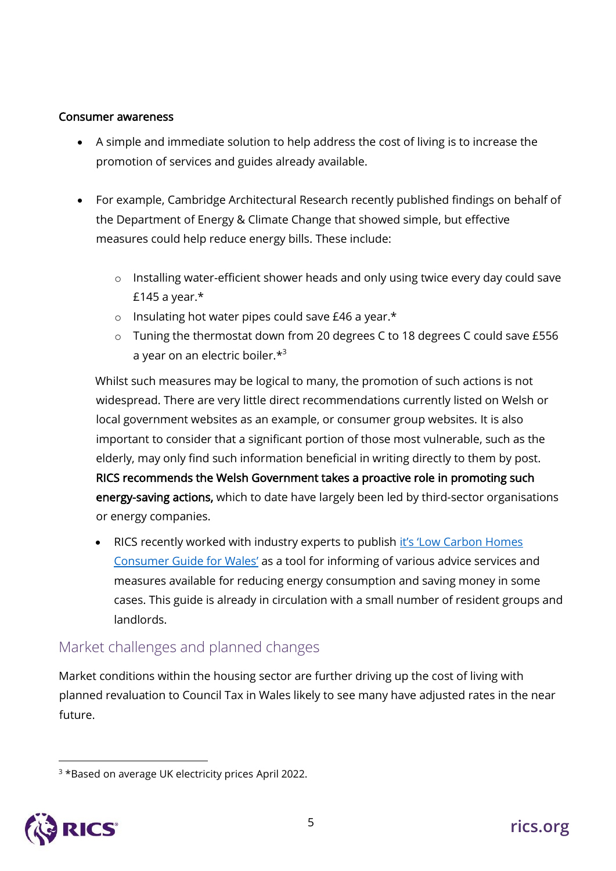#### Consumer awareness

- A simple and immediate solution to help address the cost of living is to increase the promotion of services and guides already available.
- For example, Cambridge Architectural Research recently published findings on behalf of the Department of Energy & Climate Change that showed simple, but effective measures could help reduce energy bills. These include:
	- o Installing water-efficient shower heads and only using twice every day could save £145 a year. $*$
	- o Insulating hot water pipes could save £46 a year.\*
	- o Tuning the thermostat down from 20 degrees C to 18 degrees C could save £556 a year on an electric boiler.\*<sup>3</sup>

Whilst such measures may be logical to many, the promotion of such actions is not widespread. There are very little direct recommendations currently listed on Welsh or local government websites as an example, or consumer group websites. It is also important to consider that a significant portion of those most vulnerable, such as the elderly, may only find such information beneficial in writing directly to them by post. RICS recommends the Welsh Government takes a proactive role in promoting such energy-saving actions, which to date have largely been led by third-sector organisations or energy companies.

RICS recently worked with industry experts to publish it's 'Low [Carbon Homes](https://www.ricsfirms.com/media/1277/rics-low-carbon-home-consumer-guide-wales.pdf) [Consumer Guide for Wales](https://www.ricsfirms.com/media/1277/rics-low-carbon-home-consumer-guide-wales.pdf)' as a tool for informing of various advice services and measures available for reducing energy consumption and saving money in some cases. This guide is already in circulation with a small number of resident groups and landlords.

### Market challenges and planned changes

Market conditions within the housing sector are further driving up the cost of living with planned revaluation to Council Tax in Wales likely to see many have adjusted rates in the near future.

<sup>&</sup>lt;sup>3</sup> \*Based on average UK electricity prices April 2022.

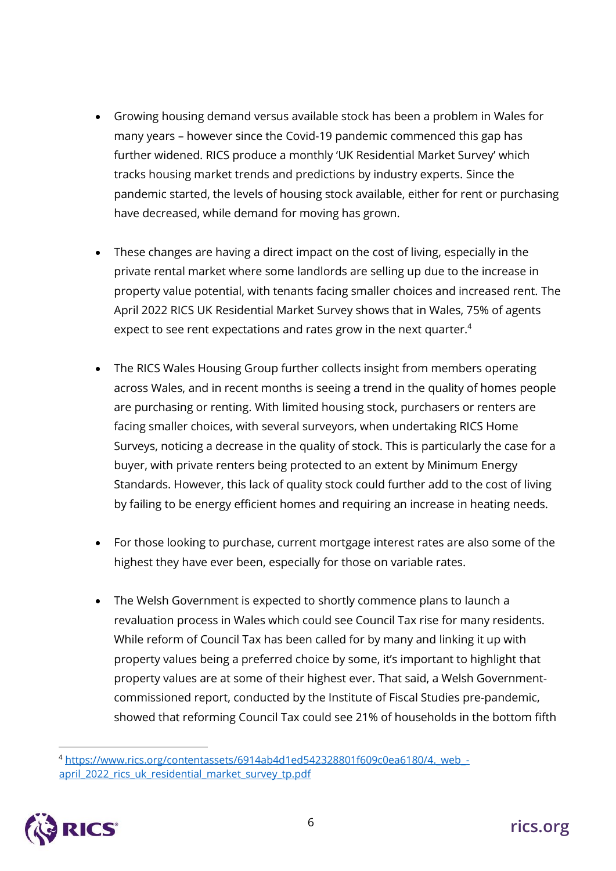- Growing housing demand versus available stock has been a problem in Wales for many years – however since the Covid-19 pandemic commenced this gap has further widened. RICS produce a monthly 'UK Residential Market Survey' which tracks housing market trends and predictions by industry experts. Since the pandemic started, the levels of housing stock available, either for rent or purchasing have decreased, while demand for moving has grown.
- These changes are having a direct impact on the cost of living, especially in the private rental market where some landlords are selling up due to the increase in property value potential, with tenants facing smaller choices and increased rent. The April 2022 RICS UK Residential Market Survey shows that in Wales, 75% of agents expect to see rent expectations and rates grow in the next quarter.<sup>4</sup>
- The RICS Wales Housing Group further collects insight from members operating across Wales, and in recent months is seeing a trend in the quality of homes people are purchasing or renting. With limited housing stock, purchasers or renters are facing smaller choices, with several surveyors, when undertaking RICS Home Surveys, noticing a decrease in the quality of stock. This is particularly the case for a buyer, with private renters being protected to an extent by Minimum Energy Standards. However, this lack of quality stock could further add to the cost of living by failing to be energy efficient homes and requiring an increase in heating needs.
- For those looking to purchase, current mortgage interest rates are also some of the highest they have ever been, especially for those on variable rates.
- The Welsh Government is expected to shortly commence plans to launch a revaluation process in Wales which could see Council Tax rise for many residents. While reform of Council Tax has been called for by many and linking it up with property values being a preferred choice by some, it's important to highlight that property values are at some of their highest ever. That said, a Welsh Governmentcommissioned report, conducted by the Institute of Fiscal Studies pre-pandemic, showed that reforming Council Tax could see 21% of households in the bottom fifth

<sup>4</sup> [https://www.rics.org/contentassets/6914ab4d1ed542328801f609c0ea6180/4.\\_web\\_](https://www.rics.org/contentassets/6914ab4d1ed542328801f609c0ea6180/4._web_-april_2022_rics_uk_residential_market_survey_tp.pdf) [april\\_2022\\_rics\\_uk\\_residential\\_market\\_survey\\_tp.pdf](https://www.rics.org/contentassets/6914ab4d1ed542328801f609c0ea6180/4._web_-april_2022_rics_uk_residential_market_survey_tp.pdf)